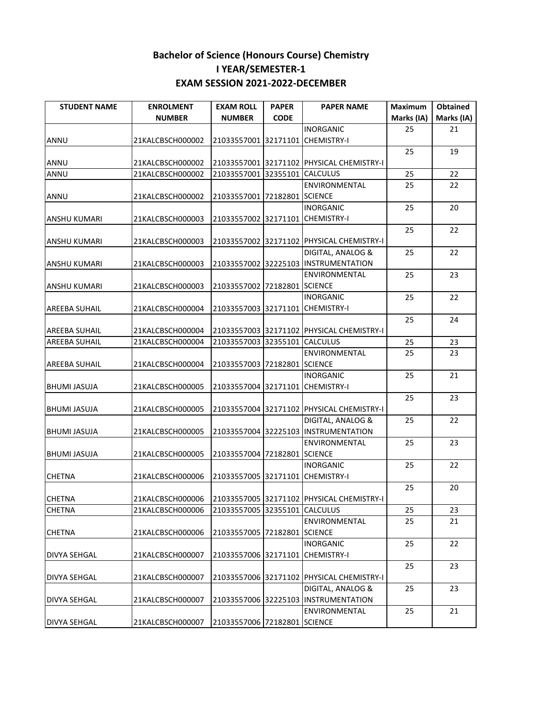| <b>STUDENT NAME</b>  | <b>ENROLMENT</b> | <b>EXAM ROLL</b>                 | <b>PAPER</b> | <b>PAPER NAME</b>                         | <b>Maximum</b> | Obtained   |
|----------------------|------------------|----------------------------------|--------------|-------------------------------------------|----------------|------------|
|                      | <b>NUMBER</b>    | <b>NUMBER</b>                    | <b>CODE</b>  |                                           | Marks (IA)     | Marks (IA) |
|                      |                  |                                  |              | <b>INORGANIC</b>                          | 25             | 21         |
| <b>ANNU</b>          | 21KALCBSCH000002 | 21033557001 32171101 CHEMISTRY-I |              |                                           |                |            |
|                      |                  |                                  |              |                                           | 25             | 19         |
| ANNU                 | 21KALCBSCH000002 |                                  |              | 21033557001 32171102 PHYSICAL CHEMISTRY-I |                |            |
| ANNU                 | 21KALCBSCH000002 | 21033557001 32355101 CALCULUS    |              |                                           | 25             | 22         |
|                      |                  |                                  |              | ENVIRONMENTAL                             | 25             | 22         |
| <b>ANNU</b>          | 21KALCBSCH000002 | 21033557001 72182801 SCIENCE     |              |                                           |                |            |
|                      |                  |                                  |              | <b>INORGANIC</b>                          | 25             | 20         |
| <b>ANSHU KUMARI</b>  | 21KALCBSCH000003 | 21033557002 32171101 CHEMISTRY-I |              |                                           |                |            |
|                      |                  |                                  |              |                                           | 25             | 22         |
| <b>ANSHU KUMARI</b>  | 21KALCBSCH000003 |                                  |              | 21033557002 32171102 PHYSICAL CHEMISTRY-I |                |            |
|                      |                  |                                  |              | DIGITAL, ANALOG &                         | 25             | 22         |
| <b>ANSHU KUMARI</b>  | 21KALCBSCH000003 |                                  |              | 21033557002 32225103 INSTRUMENTATION      |                |            |
|                      |                  |                                  |              | <b>ENVIRONMENTAL</b>                      | 25             | 23         |
| <b>ANSHU KUMARI</b>  | 21KALCBSCH000003 | 21033557002 72182801 SCIENCE     |              |                                           |                |            |
|                      |                  |                                  |              | <b>INORGANIC</b>                          | 25             | 22         |
| <b>AREEBA SUHAIL</b> | 21KALCBSCH000004 | 21033557003 32171101 CHEMISTRY-I |              |                                           |                |            |
|                      |                  |                                  |              |                                           | 25             | 24         |
| <b>AREEBA SUHAIL</b> | 21KALCBSCH000004 |                                  |              | 21033557003 32171102 PHYSICAL CHEMISTRY-I |                |            |
| <b>AREEBA SUHAIL</b> | 21KALCBSCH000004 | 21033557003 32355101 CALCULUS    |              |                                           | 25             | 23         |
|                      |                  |                                  |              | ENVIRONMENTAL                             | 25             | 23         |
| <b>AREEBA SUHAIL</b> | 21KALCBSCH000004 | 21033557003 72182801 SCIENCE     |              |                                           |                |            |
|                      |                  |                                  |              | <b>INORGANIC</b>                          | 25             | 21         |
| <b>BHUMI JASUJA</b>  | 21KALCBSCH000005 | 21033557004 32171101             |              | <b>CHEMISTRY-I</b>                        |                |            |
|                      |                  |                                  |              |                                           | 25             | 23         |
| <b>BHUMI JASUJA</b>  | 21KALCBSCH000005 |                                  |              | 21033557004 32171102 PHYSICAL CHEMISTRY-I |                |            |
|                      |                  |                                  |              | DIGITAL, ANALOG &                         | 25             | 22         |
| <b>BHUMI JASUJA</b>  | 21KALCBSCH000005 |                                  |              | 21033557004 32225103 INSTRUMENTATION      |                |            |
|                      |                  |                                  |              | <b>ENVIRONMENTAL</b>                      | 25             | 23         |
| <b>BHUMI JASUJA</b>  | 21KALCBSCH000005 | 21033557004 72182801 SCIENCE     |              |                                           |                |            |
|                      |                  |                                  |              | <b>INORGANIC</b>                          | 25             | 22         |
| <b>CHETNA</b>        | 21KALCBSCH000006 | 21033557005 32171101 CHEMISTRY-I |              |                                           |                |            |
|                      |                  |                                  |              |                                           | 25             | 20         |
| <b>CHETNA</b>        | 21KALCBSCH000006 |                                  |              | 21033557005 32171102 PHYSICAL CHEMISTRY-I |                |            |
| <b>CHETNA</b>        | 21KALCBSCH000006 | 21033557005 32355101             |              | <b>CALCULUS</b>                           | 25             | 23         |
|                      |                  |                                  |              | <b>ENVIRONMENTAL</b>                      | 25             | 21         |
| <b>CHETNA</b>        | 21KALCBSCH000006 | 21033557005 72182801             |              | <b>SCIENCE</b>                            |                |            |
|                      |                  |                                  |              | <b>INORGANIC</b>                          | 25             | 22         |
| <b>DIVYA SEHGAL</b>  | 21KALCBSCH000007 | 21033557006 32171101             |              | <b>CHEMISTRY-I</b>                        |                |            |
|                      |                  |                                  |              |                                           | 25             | 23         |
| <b>DIVYA SEHGAL</b>  | 21KALCBSCH000007 |                                  |              | 21033557006 32171102 PHYSICAL CHEMISTRY-I |                |            |
|                      |                  |                                  |              | DIGITAL, ANALOG &                         | 25             | 23         |
| <b>DIVYA SEHGAL</b>  | 21KALCBSCH000007 |                                  |              | 21033557006 32225103 INSTRUMENTATION      |                |            |
|                      |                  |                                  |              | ENVIRONMENTAL                             | 25             | 21         |
| <b>DIVYA SEHGAL</b>  | 21KALCBSCH000007 | 21033557006 72182801 SCIENCE     |              |                                           |                |            |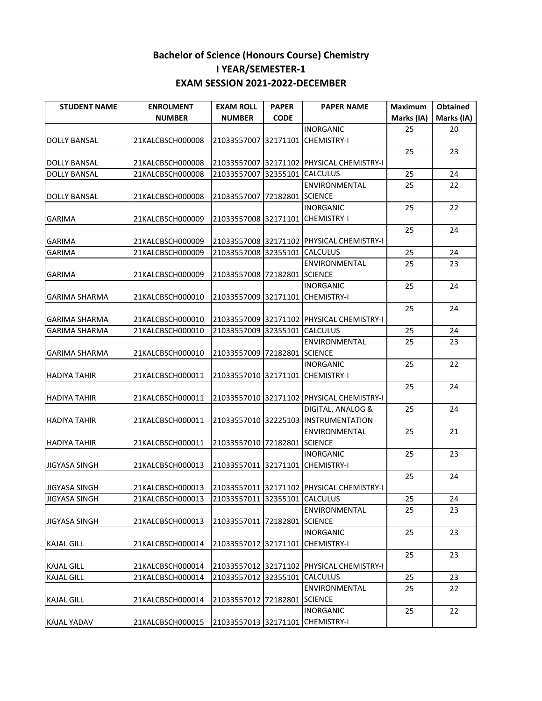| <b>STUDENT NAME</b>  | <b>ENROLMENT</b> | <b>EXAM ROLL</b>                 | <b>PAPER</b> | <b>PAPER NAME</b>                         | <b>Maximum</b> | Obtained   |
|----------------------|------------------|----------------------------------|--------------|-------------------------------------------|----------------|------------|
|                      | <b>NUMBER</b>    | <b>NUMBER</b>                    | <b>CODE</b>  |                                           | Marks (IA)     | Marks (IA) |
|                      |                  |                                  |              | <b>INORGANIC</b>                          | 25             | 20         |
| <b>DOLLY BANSAL</b>  | 21KALCBSCH000008 | 21033557007 32171101 CHEMISTRY-I |              |                                           |                |            |
|                      |                  |                                  |              |                                           | 25             | 23         |
| <b>DOLLY BANSAL</b>  | 21KALCBSCH000008 |                                  |              | 21033557007 32171102 PHYSICAL CHEMISTRY-I |                |            |
| <b>DOLLY BANSAL</b>  | 21KALCBSCH000008 | 21033557007 32355101             |              | <b>CALCULUS</b>                           | 25             | 24         |
|                      |                  |                                  |              | ENVIRONMENTAL                             | 25             | 22         |
| <b>DOLLY BANSAL</b>  | 21KALCBSCH000008 | 21033557007 72182801 SCIENCE     |              |                                           |                |            |
|                      |                  |                                  |              | <b>INORGANIC</b>                          | 25             | 22         |
| <b>GARIMA</b>        | 21KALCBSCH000009 | 21033557008 32171101 CHEMISTRY-I |              |                                           |                |            |
|                      |                  |                                  |              |                                           | 25             | 24         |
| <b>GARIMA</b>        | 21KALCBSCH000009 |                                  |              | 21033557008 32171102 PHYSICAL CHEMISTRY-I |                |            |
| <b>GARIMA</b>        | 21KALCBSCH000009 | 21033557008 32355101             |              | <b>CALCULUS</b>                           | 25             | 24         |
|                      |                  |                                  |              | ENVIRONMENTAL                             | 25             | 23         |
| <b>GARIMA</b>        | 21KALCBSCH000009 | 21033557008 72182801 SCIENCE     |              |                                           |                |            |
|                      |                  |                                  |              | <b>INORGANIC</b>                          | 25             | 24         |
| <b>GARIMA SHARMA</b> | 21KALCBSCH000010 | 21033557009 32171101             |              | <b>CHEMISTRY-I</b>                        |                |            |
|                      |                  |                                  |              |                                           | 25             | 24         |
| <b>GARIMA SHARMA</b> | 21KALCBSCH000010 |                                  |              | 21033557009 32171102 PHYSICAL CHEMISTRY-I |                |            |
| <b>GARIMA SHARMA</b> | 21KALCBSCH000010 | 21033557009 32355101             |              | <b>CALCULUS</b>                           | 25             | 24         |
|                      |                  |                                  |              | ENVIRONMENTAL                             | 25             | 23         |
| <b>GARIMA SHARMA</b> | 21KALCBSCH000010 | 21033557009 72182801 SCIENCE     |              |                                           |                |            |
|                      |                  |                                  |              | <b>INORGANIC</b>                          | 25             | 22         |
| <b>HADIYA TAHIR</b>  | 21KALCBSCH000011 | 21033557010 32171101 CHEMISTRY-I |              |                                           | 25             | 24         |
| <b>HADIYA TAHIR</b>  | 21KALCBSCH000011 |                                  |              | 21033557010 32171102 PHYSICAL CHEMISTRY-I |                |            |
|                      |                  |                                  |              | DIGITAL, ANALOG &                         | 25             | 24         |
| <b>HADIYA TAHIR</b>  | 21KALCBSCH000011 |                                  |              | 21033557010 32225103 INSTRUMENTATION      |                |            |
|                      |                  |                                  |              | ENVIRONMENTAL                             | 25             | 21         |
| <b>HADIYA TAHIR</b>  | 21KALCBSCH000011 | 21033557010 72182801 SCIENCE     |              |                                           |                |            |
|                      |                  |                                  |              | <b>INORGANIC</b>                          | 25             | 23         |
| <b>JIGYASA SINGH</b> | 21KALCBSCH000013 | 21033557011 32171101 CHEMISTRY-I |              |                                           |                |            |
|                      |                  |                                  |              |                                           | 25             | 24         |
| <b>JIGYASA SINGH</b> | 21KALCBSCH000013 |                                  |              | 21033557011 32171102 PHYSICAL CHEMISTRY-I |                |            |
| <b>JIGYASA SINGH</b> | 21KALCBSCH000013 | 21033557011 32355101 CALCULUS    |              |                                           | 25             | 24         |
|                      |                  |                                  |              | ENVIRONMENTAL                             | 25             | 23         |
| <b>JIGYASA SINGH</b> | 21KALCBSCH000013 | 21033557011 72182801 SCIENCE     |              |                                           |                |            |
|                      |                  |                                  |              | <b>INORGANIC</b>                          | 25             | 23         |
| <b>KAJAL GILL</b>    | 21KALCBSCH000014 | 21033557012 32171101             |              | <b>CHEMISTRY-I</b>                        |                |            |
|                      |                  |                                  |              |                                           | 25             | 23         |
| <b>KAJAL GILL</b>    | 21KALCBSCH000014 |                                  |              | 21033557012 32171102 PHYSICAL CHEMISTRY-I |                |            |
| <b>KAJAL GILL</b>    | 21KALCBSCH000014 | 21033557012 32355101             |              | <b>CALCULUS</b>                           | 25             | 23         |
|                      |                  |                                  |              | ENVIRONMENTAL                             | 25             | 22         |
| <b>KAJAL GILL</b>    | 21KALCBSCH000014 | 21033557012 72182801 SCIENCE     |              |                                           |                |            |
|                      |                  |                                  |              | <b>INORGANIC</b>                          | 25             | 22         |
| <b>KAJAL YADAV</b>   | 21KALCBSCH000015 | 21033557013 32171101 CHEMISTRY-I |              |                                           |                |            |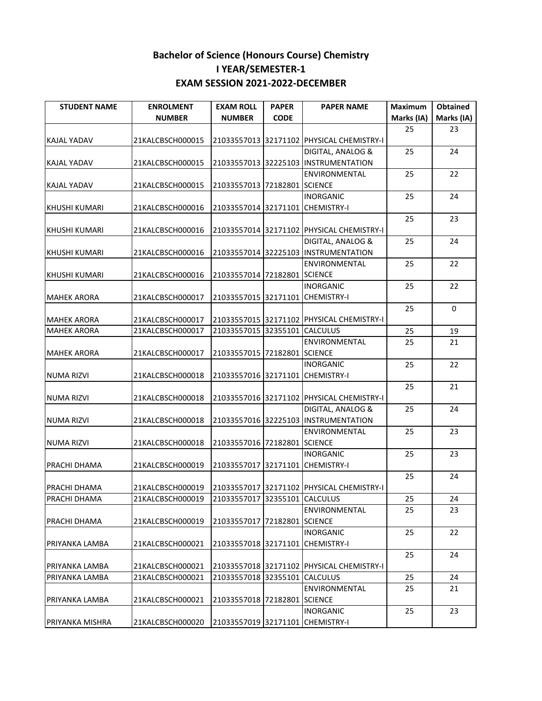| <b>STUDENT NAME</b>                      | <b>ENROLMENT</b>                     | <b>EXAM ROLL</b>                 | <b>PAPER</b> | <b>PAPER NAME</b>                         | <b>Maximum</b> | Obtained    |
|------------------------------------------|--------------------------------------|----------------------------------|--------------|-------------------------------------------|----------------|-------------|
|                                          | <b>NUMBER</b>                        | <b>NUMBER</b>                    | <b>CODE</b>  |                                           | Marks (IA)     | Marks (IA)  |
|                                          |                                      |                                  |              |                                           | 25             | 23          |
| KAJAL YADAV                              | 21KALCBSCH000015                     |                                  |              | 21033557013 32171102 PHYSICAL CHEMISTRY-I |                |             |
|                                          |                                      |                                  |              | DIGITAL, ANALOG &                         | 25             | 24          |
| KAJAL YADAV                              | 21KALCBSCH000015                     |                                  |              | 21033557013 32225103 INSTRUMENTATION      |                |             |
|                                          |                                      |                                  |              | ENVIRONMENTAL                             | 25             | 22          |
| KAJAL YADAV                              | 21KALCBSCH000015                     | 21033557013 72182801 SCIENCE     |              |                                           |                |             |
|                                          |                                      |                                  |              | <b>INORGANIC</b>                          | 25             | 24          |
| <b>KHUSHI KUMARI</b>                     | 21KALCBSCH000016                     | 21033557014 32171101 CHEMISTRY-I |              |                                           |                |             |
|                                          |                                      |                                  |              |                                           | 25             | 23          |
| <b>KHUSHI KUMARI</b>                     | 21KALCBSCH000016                     | 21033557014 32171102             |              | <b>PHYSICAL CHEMISTRY-I</b>               |                |             |
|                                          |                                      |                                  |              | DIGITAL, ANALOG &                         | 25             | 24          |
| <b>KHUSHI KUMARI</b>                     | 21KALCBSCH000016                     |                                  |              | 21033557014 32225103 INSTRUMENTATION      |                |             |
|                                          |                                      |                                  |              | ENVIRONMENTAL                             | 25             | 22          |
| <b>KHUSHI KUMARI</b>                     | 21KALCBSCH000016                     | 21033557014 72182801 SCIENCE     |              |                                           |                |             |
|                                          |                                      |                                  |              | <b>INORGANIC</b>                          | 25             | 22          |
| <b>MAHEK ARORA</b>                       | 21KALCBSCH000017                     | 21033557015 32171101 CHEMISTRY-I |              |                                           |                | $\mathbf 0$ |
|                                          |                                      |                                  |              | 21033557015 32171102 PHYSICAL CHEMISTRY-I | 25             |             |
| <b>MAHEK ARORA</b><br><b>MAHEK ARORA</b> | 21KALCBSCH000017<br>21KALCBSCH000017 | 21033557015 32355101             |              | <b>CALCULUS</b>                           | 25             | 19          |
|                                          |                                      |                                  |              | ENVIRONMENTAL                             | 25             | 21          |
| <b>MAHEK ARORA</b>                       | 21KALCBSCH000017                     | 21033557015 72182801 SCIENCE     |              |                                           |                |             |
|                                          |                                      |                                  |              | <b>INORGANIC</b>                          | 25             | 22          |
| <b>NUMA RIZVI</b>                        | 21KALCBSCH000018                     | 21033557016 32171101 CHEMISTRY-I |              |                                           |                |             |
|                                          |                                      |                                  |              |                                           | 25             | 21          |
| <b>NUMA RIZVI</b>                        | 21KALCBSCH000018                     |                                  |              | 21033557016 32171102 PHYSICAL CHEMISTRY-I |                |             |
|                                          |                                      |                                  |              | DIGITAL, ANALOG &                         | 25             | 24          |
| <b>NUMA RIZVI</b>                        | 21KALCBSCH000018                     |                                  |              | 21033557016 32225103 INSTRUMENTATION      |                |             |
|                                          |                                      |                                  |              | ENVIRONMENTAL                             | 25             | 23          |
| <b>NUMA RIZVI</b>                        | 21KALCBSCH000018                     | 21033557016 72182801 SCIENCE     |              |                                           |                |             |
|                                          |                                      |                                  |              | <b>INORGANIC</b>                          | 25             | 23          |
| PRACHI DHAMA                             | 21KALCBSCH000019                     | 21033557017 32171101 CHEMISTRY-I |              |                                           |                |             |
|                                          |                                      |                                  |              |                                           | 25             | 24          |
| PRACHI DHAMA                             | 21KALCBSCH000019                     |                                  |              | 21033557017 32171102 PHYSICAL CHEMISTRY-I |                |             |
| PRACHI DHAMA                             | 21KALCBSCH000019                     | 21033557017 32355101 CALCULUS    |              |                                           | 25             | 24          |
|                                          |                                      |                                  |              | ENVIRONMENTAL                             | 25             | 23          |
| PRACHI DHAMA                             | 21KALCBSCH000019                     | 21033557017 72182801 SCIENCE     |              |                                           |                |             |
|                                          |                                      |                                  |              | <b>INORGANIC</b>                          | 25             | 22          |
| PRIYANKA LAMBA                           | 21KALCBSCH000021                     | 21033557018 32171101             |              | <b>CHEMISTRY-I</b>                        |                |             |
|                                          |                                      |                                  |              |                                           | 25             | 24          |
| PRIYANKA LAMBA                           | 21KALCBSCH000021                     |                                  |              | 21033557018 32171102 PHYSICAL CHEMISTRY-I |                |             |
| PRIYANKA LAMBA                           | 21KALCBSCH000021                     | 21033557018 32355101             |              | <b>CALCULUS</b>                           | 25             | 24          |
|                                          |                                      |                                  |              | <b>ENVIRONMENTAL</b>                      | 25             | 21          |
| PRIYANKA LAMBA                           | 21KALCBSCH000021                     | 21033557018 72182801 SCIENCE     |              |                                           |                |             |
|                                          |                                      |                                  |              | <b>INORGANIC</b>                          | 25             | 23          |
| <b>PRIYANKA MISHRA</b>                   | 21KALCBSCH000020                     | 21033557019 32171101 CHEMISTRY-I |              |                                           |                |             |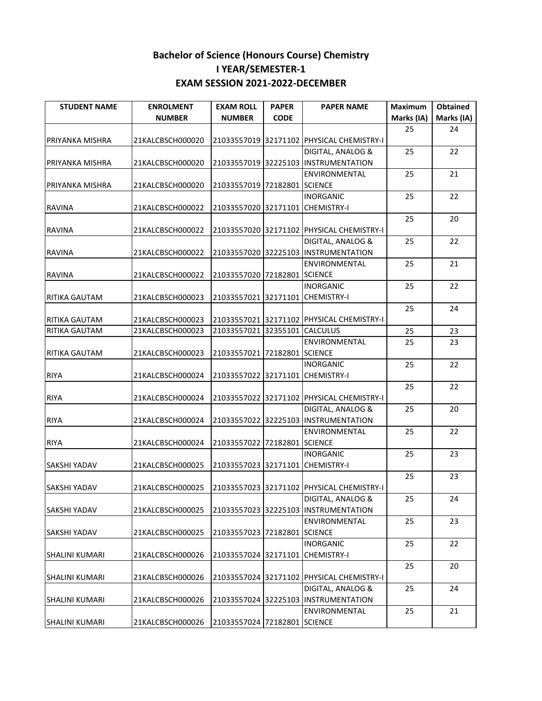| <b>STUDENT NAME</b>   | <b>ENROLMENT</b> | <b>EXAM ROLL</b>                 | <b>PAPER</b> | <b>PAPER NAME</b>                         | Maximum    | Obtained   |
|-----------------------|------------------|----------------------------------|--------------|-------------------------------------------|------------|------------|
|                       | <b>NUMBER</b>    | <b>NUMBER</b>                    | <b>CODE</b>  |                                           | Marks (IA) | Marks (IA) |
|                       |                  |                                  |              |                                           | 25         | 24         |
| PRIYANKA MISHRA       | 21KALCBSCH000020 |                                  |              | 21033557019 32171102 PHYSICAL CHEMISTRY-I |            |            |
|                       |                  |                                  |              | DIGITAL, ANALOG &                         | 25         | 22         |
| PRIYANKA MISHRA       | 21KALCBSCH000020 |                                  |              | 21033557019 32225103 INSTRUMENTATION      |            |            |
|                       |                  |                                  |              | ENVIRONMENTAL                             | 25         | 21         |
| PRIYANKA MISHRA       | 21KALCBSCH000020 | 21033557019 72182801 SCIENCE     |              |                                           |            |            |
|                       |                  |                                  |              | <b>INORGANIC</b>                          | 25         | 22         |
| <b>RAVINA</b>         | 21KALCBSCH000022 | 21033557020 32171101 CHEMISTRY-I |              |                                           |            |            |
|                       |                  |                                  |              |                                           | 25         | 20         |
| <b>RAVINA</b>         | 21KALCBSCH000022 |                                  |              | 21033557020 32171102 PHYSICAL CHEMISTRY-I |            |            |
|                       |                  |                                  |              | DIGITAL, ANALOG &                         | 25         | 22         |
| <b>RAVINA</b>         | 21KALCBSCH000022 |                                  |              | 21033557020 32225103 INSTRUMENTATION      |            |            |
|                       |                  |                                  |              | <b>ENVIRONMENTAL</b>                      | 25         | 21         |
| <b>RAVINA</b>         | 21KALCBSCH000022 | 21033557020 72182801 SCIENCE     |              |                                           |            |            |
|                       |                  |                                  |              | <b>INORGANIC</b>                          | 25         | 22         |
| <b>RITIKA GAUTAM</b>  | 21KALCBSCH000023 | 21033557021 32171101 CHEMISTRY-I |              |                                           |            |            |
|                       |                  |                                  |              |                                           | 25         | 24         |
| RITIKA GAUTAM         | 21KALCBSCH000023 |                                  |              | 21033557021 32171102 PHYSICAL CHEMISTRY-I |            |            |
| RITIKA GAUTAM         | 21KALCBSCH000023 | 21033557021 32355101             |              | <b>CALCULUS</b>                           | 25         | 23         |
|                       |                  |                                  |              | ENVIRONMENTAL                             | 25         | 23         |
| RITIKA GAUTAM         | 21KALCBSCH000023 | 21033557021 72182801 SCIENCE     |              |                                           |            |            |
|                       |                  |                                  |              | <b>INORGANIC</b>                          | 25         | 22         |
| <b>RIYA</b>           | 21KALCBSCH000024 | 21033557022 32171101             |              | <b>CHEMISTRY-I</b>                        |            |            |
|                       |                  |                                  |              |                                           | 25         | 22         |
| <b>RIYA</b>           | 21KALCBSCH000024 |                                  |              | 21033557022 32171102 PHYSICAL CHEMISTRY-I |            |            |
|                       |                  |                                  |              | DIGITAL, ANALOG &                         | 25         | 20         |
| <b>RIYA</b>           | 21KALCBSCH000024 |                                  |              | 21033557022 32225103 INSTRUMENTATION      |            |            |
|                       |                  |                                  |              | <b>ENVIRONMENTAL</b>                      | 25         | 22         |
| <b>RIYA</b>           | 21KALCBSCH000024 | 21033557022 72182801 SCIENCE     |              |                                           |            |            |
|                       |                  |                                  |              | <b>INORGANIC</b>                          | 25         | 23         |
| SAKSHI YADAV          | 21KALCBSCH000025 | 21033557023 32171101 CHEMISTRY-I |              |                                           |            |            |
|                       |                  |                                  |              |                                           | 25         | 23         |
| <b>SAKSHI YADAV</b>   | 21KALCBSCH000025 |                                  |              | 21033557023 32171102 PHYSICAL CHEMISTRY-I |            |            |
|                       |                  |                                  |              | DIGITAL, ANALOG &                         | 25         | 24         |
| <b>SAKSHI YADAV</b>   | 21KALCBSCH000025 | 21033557023 32225103             |              | INSTRUMENTATION                           |            |            |
|                       |                  |                                  |              | <b>ENVIRONMENTAL</b>                      | 25         | 23         |
| <b>SAKSHI YADAV</b>   | 21KALCBSCH000025 | 21033557023 72182801 SCIENCE     |              |                                           |            |            |
|                       |                  |                                  |              | <b>INORGANIC</b>                          | 25         | 22         |
| <b>SHALINI KUMARI</b> | 21KALCBSCH000026 | 21033557024 32171101             |              | <b>CHEMISTRY-I</b>                        |            |            |
|                       |                  |                                  |              |                                           | 25         | 20         |
| <b>SHALINI KUMARI</b> | 21KALCBSCH000026 |                                  |              | 21033557024 32171102 PHYSICAL CHEMISTRY-I |            |            |
|                       |                  |                                  |              | DIGITAL, ANALOG &                         | 25         | 24         |
| <b>SHALINI KUMARI</b> | 21KALCBSCH000026 |                                  |              | 21033557024 32225103 INSTRUMENTATION      |            |            |
|                       |                  |                                  |              | ENVIRONMENTAL                             | 25         | 21         |
| <b>SHALINI KUMARI</b> | 21KALCBSCH000026 | 21033557024 72182801 SCIENCE     |              |                                           |            |            |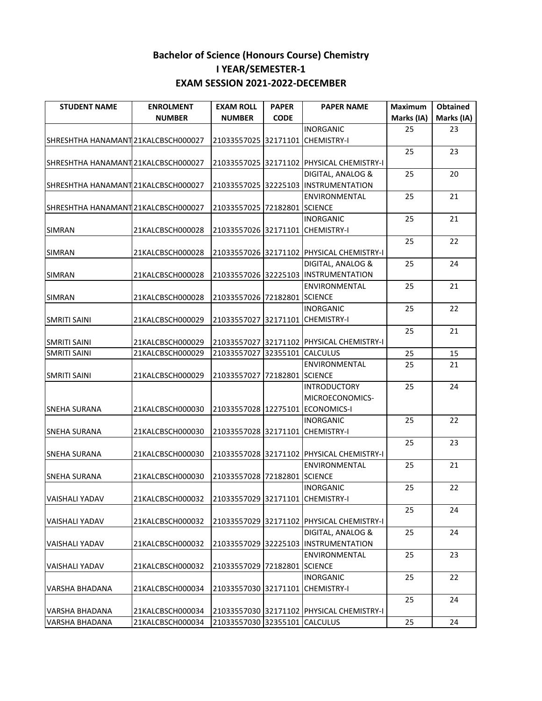| <b>STUDENT NAME</b>                 | <b>ENROLMENT</b> | <b>EXAM ROLL</b>                 | <b>PAPER</b> | <b>PAPER NAME</b>                         | Maximum    | Obtained   |
|-------------------------------------|------------------|----------------------------------|--------------|-------------------------------------------|------------|------------|
|                                     | <b>NUMBER</b>    | <b>NUMBER</b>                    | <b>CODE</b>  |                                           | Marks (IA) | Marks (IA) |
|                                     |                  |                                  |              | <b>INORGANIC</b>                          | 25         | 23         |
| SHRESHTHA HANAMANT 21KALCBSCH000027 |                  | 21033557025 32171101 CHEMISTRY-I |              |                                           |            |            |
|                                     |                  |                                  |              |                                           | 25         | 23         |
| SHRESHTHA HANAMANT 21KALCBSCH000027 |                  |                                  |              | 21033557025 32171102 PHYSICAL CHEMISTRY-I |            |            |
|                                     |                  |                                  |              | DIGITAL, ANALOG &                         | 25         | 20         |
| SHRESHTHA HANAMANT 21KALCBSCH000027 |                  |                                  |              | 21033557025 32225103 INSTRUMENTATION      |            |            |
|                                     |                  |                                  |              | <b>ENVIRONMENTAL</b>                      | 25         | 21         |
| SHRESHTHA HANAMANT 21KALCBSCH000027 |                  | 21033557025 72182801 SCIENCE     |              |                                           |            |            |
|                                     |                  |                                  |              | <b>INORGANIC</b>                          | 25         | 21         |
| <b>SIMRAN</b>                       | 21KALCBSCH000028 | 21033557026 32171101 CHEMISTRY-I |              |                                           |            |            |
|                                     |                  |                                  |              |                                           | 25         | 22         |
| <b>SIMRAN</b>                       | 21KALCBSCH000028 |                                  |              | 21033557026 32171102 PHYSICAL CHEMISTRY-I |            |            |
|                                     |                  |                                  |              | DIGITAL, ANALOG &                         | 25         | 24         |
| <b>SIMRAN</b>                       | 21KALCBSCH000028 |                                  |              | 21033557026 32225103 INSTRUMENTATION      |            |            |
|                                     |                  |                                  |              | <b>ENVIRONMENTAL</b>                      | 25         | 21         |
| <b>SIMRAN</b>                       | 21KALCBSCH000028 | 21033557026 72182801 SCIENCE     |              |                                           |            |            |
|                                     |                  |                                  |              | <b>INORGANIC</b>                          | 25         | 22         |
| <b>SMRITI SAINI</b>                 | 21KALCBSCH000029 | 21033557027 32171101 CHEMISTRY-I |              |                                           |            |            |
|                                     |                  |                                  |              |                                           | 25         | 21         |
| <b>SMRITI SAINI</b>                 | 21KALCBSCH000029 |                                  |              | 21033557027 32171102 PHYSICAL CHEMISTRY-I |            |            |
| <b>SMRITI SAINI</b>                 | 21KALCBSCH000029 | 21033557027 32355101             |              | <b>CALCULUS</b>                           | 25         | 15         |
|                                     |                  |                                  |              | ENVIRONMENTAL                             | 25         | 21         |
| <b>SMRITI SAINI</b>                 | 21KALCBSCH000029 | 21033557027 72182801 SCIENCE     |              |                                           |            |            |
|                                     |                  |                                  |              | <b>INTRODUCTORY</b>                       | 25         | 24         |
|                                     |                  |                                  |              | MICROECONOMICS-                           |            |            |
| <b>SNEHA SURANA</b>                 | 21KALCBSCH000030 |                                  |              | 21033557028 12275101 ECONOMICS-I          |            |            |
|                                     |                  |                                  |              | <b>INORGANIC</b>                          | 25         | 22         |
| <b>SNEHA SURANA</b>                 | 21KALCBSCH000030 | 21033557028 32171101 CHEMISTRY-I |              |                                           |            |            |
|                                     |                  |                                  |              |                                           | 25         | 23         |
| <b>SNEHA SURANA</b>                 | 21KALCBSCH000030 |                                  |              | 21033557028 32171102 PHYSICAL CHEMISTRY-I |            |            |
|                                     |                  |                                  |              | ENVIRONMENTAL                             | 25         | 21         |
| <b>SNEHA SURANA</b>                 | 21KALCBSCH000030 | 21033557028 72182801 SCIENCE     |              |                                           |            |            |
|                                     |                  |                                  |              | <b>INORGANIC</b>                          | 25         | 22         |
| VAISHALI YADAV                      | 21KALCBSCH000032 | 21033557029 32171101 CHEMISTRY-I |              |                                           |            |            |
|                                     |                  |                                  |              |                                           | 25         | 24         |
| <b>VAISHALI YADAV</b>               | 21KALCBSCH000032 |                                  |              | 21033557029 32171102 PHYSICAL CHEMISTRY-I |            |            |
|                                     |                  |                                  |              | DIGITAL, ANALOG &                         | 25         | 24         |
| VAISHALI YADAV                      | 21KALCBSCH000032 |                                  |              | 21033557029 32225103 INSTRUMENTATION      |            |            |
|                                     |                  |                                  |              | <b>ENVIRONMENTAL</b>                      | 25         | 23         |
| <b>VAISHALI YADAV</b>               | 21KALCBSCH000032 | 21033557029 72182801 SCIENCE     |              |                                           |            |            |
|                                     |                  |                                  |              | <b>INORGANIC</b>                          | 25         | 22         |
| VARSHA BHADANA                      | 21KALCBSCH000034 | 21033557030 32171101             |              | <b>CHEMISTRY-I</b>                        |            |            |
|                                     |                  |                                  |              |                                           | 25         | 24         |
| <b>VARSHA BHADANA</b>               | 21KALCBSCH000034 |                                  |              | 21033557030 32171102 PHYSICAL CHEMISTRY-I |            |            |
| VARSHA BHADANA                      | 21KALCBSCH000034 | 21033557030 32355101             |              | <b>CALCULUS</b>                           | 25         | 24         |